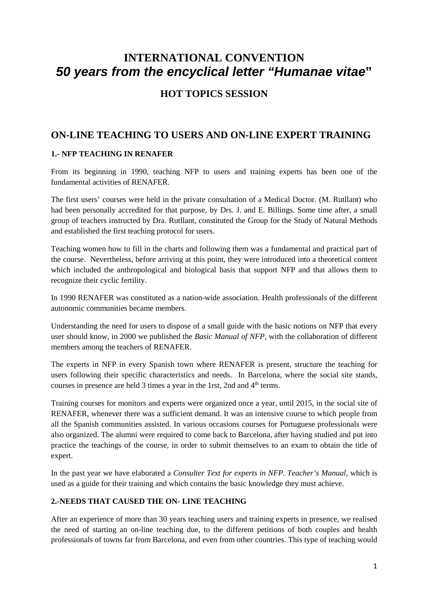# **INTERNATIONAL CONVENTION 50 years from the encyclical letter "Humanae vitae"**

## **HOT TOPICS SESSION**

## **ON-LINE TEACHING TO USERS AND ON-LINE EXPERT TRAINING**

## **1.- NFP TEACHING IN RENAFER**

From its beginning in 1990, teaching NFP to users and training experts has been one of the fundamental activities of RENAFER.

The first users' courses were held in the private consultation of a Medical Doctor. (M. Rutllant) who had been personally accredited for that purpose, by Drs. J. and E. Billings. Some time after, a small group of teachers instructed by Dra. Rutllant, constituted the Group for the Study of Natural Methods and established the first teaching protocol for users.

Teaching women how to fill in the charts and following them was a fundamental and practical part of the course. Nevertheless, before arriving at this point, they were introduced into a theoretical content which included the anthropological and biological basis that support NFP and that allows them to recognize their cyclic fertility.

In 1990 RENAFER was constituted as a nation-wide association. Health professionals of the different autonomic communities became members.

Understanding the need for users to dispose of a small guide with the basic notions on NFP that every user should know, in 2000 we published the *Basic Manual of NFP,* with the collaboration of different members among the teachers of RENAFER.

The experts in NFP in every Spanish town where RENAFER is present, structure the teaching for users following their specific characteristics and needs. In Barcelona, where the social site stands, courses in presence are held 3 times a year in the 1rst, 2nd and  $4<sup>th</sup>$  terms.

Training courses for monitors and experts were organized once a year, until 2015, in the social site of RENAFER, whenever there was a sufficient demand. It was an intensive course to which people from all the Spanish communities assisted. In various occasions courses for Portuguese professionals were also organized. The alumni were required to come back to Barcelona, after having studied and put into practice the teachings of the course, in order to submit themselves to an exam to obtain the title of expert.

In the past year we have elaborated a *Consulter Text for experts in NFP. Teacher's Manual,* which is used as a guide for their training and which contains the basic knowledge they must achieve.

## **2.-NEEDS THAT CAUSED THE ON- LINE TEACHING**

After an experience of more than 30 years teaching users and training experts in presence, we realised the need of starting an on-line teaching due, to the different petitions of both couples and health professionals of towns far from Barcelona, and even from other countries. This type of teaching would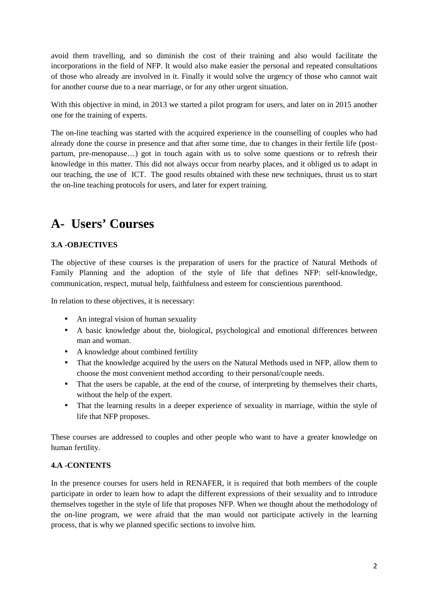avoid them travelling, and so diminish the cost of their training and also would facilitate the incorporations in the field of NFP. It would also make easier the personal and repeated consultations of those who already are involved in it. Finally it would solve the urgency of those who cannot wait for another course due to a near marriage, or for any other urgent situation.

With this objective in mind, in 2013 we started a pilot program for users, and later on in 2015 another one for the training of experts.

The on-line teaching was started with the acquired experience in the counselling of couples who had already done the course in presence and that after some time, due to changes in their fertile life (postpartum, pre-menopause…) got in touch again with us to solve some questions or to refresh their knowledge in this matter. This did not always occur from nearby places, and it obliged us to adapt in our teaching, the use of ICT. The good results obtained with these new techniques, thrust us to start the on-line teaching protocols for users, and later for expert training.

# **A- Users' Courses**

## **3.A -OBJECTIVES**

The objective of these courses is the preparation of users for the practice of Natural Methods of Family Planning and the adoption of the style of life that defines NFP: self-knowledge, communication, respect, mutual help, faithfulness and esteem for conscientious parenthood.

In relation to these objectives, it is necessary:

- An integral vision of human sexuality
- A basic knowledge about the, biological, psychological and emotional differences between man and woman.
- A knowledge about combined fertility
- That the knowledge acquired by the users on the Natural Methods used in NFP, allow them to choose the most convenient method according to their personal/couple needs.
- That the users be capable, at the end of the course, of interpreting by themselves their charts, without the help of the expert.
- That the learning results in a deeper experience of sexuality in marriage, within the style of life that NFP proposes.

These courses are addressed to couples and other people who want to have a greater knowledge on human fertility.

## **4.A -CONTENTS**

In the presence courses for users held in RENAFER, it is required that both members of the couple participate in order to learn how to adapt the different expressions of their sexuality and to introduce themselves together in the style of life that proposes NFP. When we thought about the methodology of the on-line program, we were afraid that the man would not participate actively in the learning process, that is why we planned specific sections to involve him.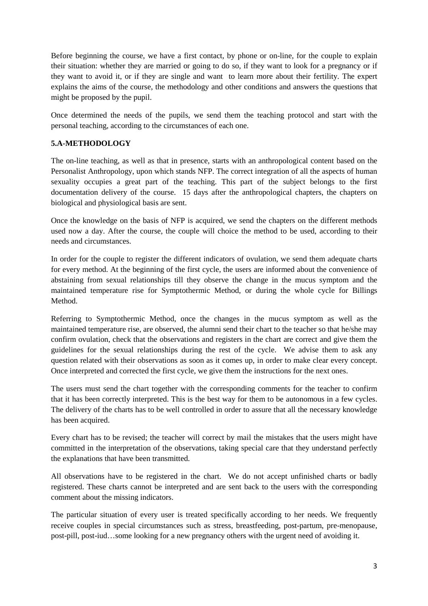Before beginning the course, we have a first contact, by phone or on-line, for the couple to explain their situation: whether they are married or going to do so, if they want to look for a pregnancy or if they want to avoid it, or if they are single and want to learn more about their fertility. The expert explains the aims of the course, the methodology and other conditions and answers the questions that might be proposed by the pupil.

Once determined the needs of the pupils, we send them the teaching protocol and start with the personal teaching, according to the circumstances of each one.

## **5.A-METHODOLOGY**

The on-line teaching, as well as that in presence, starts with an anthropological content based on the Personalist Anthropology, upon which stands NFP. The correct integration of all the aspects of human sexuality occupies a great part of the teaching. This part of the subject belongs to the first documentation delivery of the course. 15 days after the anthropological chapters, the chapters on biological and physiological basis are sent.

Once the knowledge on the basis of NFP is acquired, we send the chapters on the different methods used now a day. After the course, the couple will choice the method to be used, according to their needs and circumstances.

In order for the couple to register the different indicators of ovulation, we send them adequate charts for every method. At the beginning of the first cycle, the users are informed about the convenience of abstaining from sexual relationships till they observe the change in the mucus symptom and the maintained temperature rise for Symptothermic Method, or during the whole cycle for Billings Method.

Referring to Symptothermic Method, once the changes in the mucus symptom as well as the maintained temperature rise, are observed, the alumni send their chart to the teacher so that he/she may confirm ovulation, check that the observations and registers in the chart are correct and give them the guidelines for the sexual relationships during the rest of the cycle. We advise them to ask any question related with their observations as soon as it comes up, in order to make clear every concept. Once interpreted and corrected the first cycle, we give them the instructions for the next ones.

The users must send the chart together with the corresponding comments for the teacher to confirm that it has been correctly interpreted. This is the best way for them to be autonomous in a few cycles. The delivery of the charts has to be well controlled in order to assure that all the necessary knowledge has been acquired.

Every chart has to be revised; the teacher will correct by mail the mistakes that the users might have committed in the interpretation of the observations, taking special care that they understand perfectly the explanations that have been transmitted.

All observations have to be registered in the chart. We do not accept unfinished charts or badly registered. These charts cannot be interpreted and are sent back to the users with the corresponding comment about the missing indicators.

The particular situation of every user is treated specifically according to her needs. We frequently receive couples in special circumstances such as stress, breastfeeding, post-partum, pre-menopause, post-pill, post-iud…some looking for a new pregnancy others with the urgent need of avoiding it.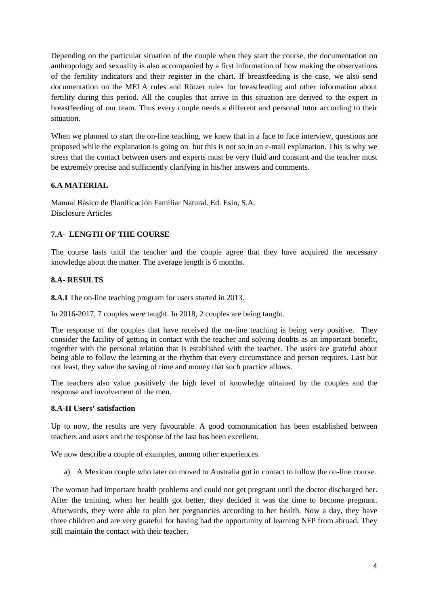Depending on the particular situation of the couple when they start the course, the documentation on anthropology and sexuality is also accompanied by a first information of how making the observations of the fertility indicators and their register in the chart. If breastfeeding is the case, we also send documentation on the MELA rules and Rötzer rules for breastfeeding and other information about fertility during this period. All the couples that arrive in this situation are derived to the expert in breastfeeding of our team. Thus every couple needs a different and personal tutor according to their situation.

When we planned to start the on-line teaching, we knew that in a face to face interview, questions are proposed while the explanation is going on but this is not so in an e-mail explanation. This is why we stress that the contact between users and experts must be very fluid and constant and the teacher must be extremely precise and sufficiently clarifying in his/her answers and comments.

## **6.A MATERIAL**

Manual Básico de Planificación Familiar Natural. Ed. Esin, S.A. Disclosure Articles

## **7.A**- **LENGTH OF THE COURSE**

The course lasts until the teacher and the couple agree that they have acquired the necessary knowledge about the matter. The average length is 6 months.

## **8.A- RESULTS**

**8.A.I** The on-line teaching program for users started in 2013.

In 2016-2017, 7 couples were taught. In 2018, 2 couples are being taught.

The response of the couples that have received the on-line teaching is being very positive. They consider the facility of getting in contact with the teacher and solving doubts as an important benefit, together with the personal relation that is established with the teacher. The users are grateful about being able to follow the learning at the rhythm that every circumstance and person requires. Last but not least, they value the saving of time and money that such practice allows.

The teachers also value positively the high level of knowledge obtained by the couples and the response and involvement of the men.

## **8.A-II Users' satisfaction**

Up to now, the results are very favourable. A good communication has been established between teachers and users and the response of the last has been excellent.

We now describe a couple of examples, among other experiences.

a) A Mexican couple who later on moved to Australia got in contact to follow the on-line course.

The woman had important health problems and could not get pregnant until the doctor discharged her. After the training, when her health got better, they decided it was the time to become pregnant. Afterwards, they were able to plan her pregnancies according to her health. Now a day, they have three children and are very grateful for having had the opportunity of learning NFP from abroad. They still maintain the contact with their teacher.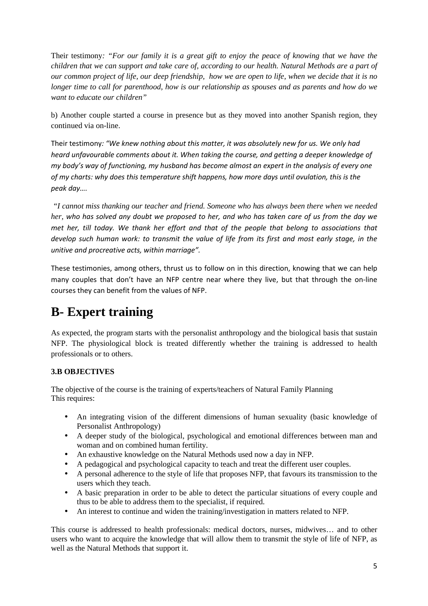Their testimony*: "For our family it is a great gift to enjoy the peace of knowing that we have the children that we can support and take care of, according to our health. Natural Methods are a part of our common project of life, our deep friendship, how we are open to life, when we decide that it is no longer time to call for parenthood, how is our relationship as spouses and as parents and how do we want to educate our children"* 

b) Another couple started a course in presence but as they moved into another Spanish region, they continued via on-line.

Their testimony*: "We knew nothing about this matter, it was absolutely new for us. We only had heard unfavourable comments about it. When taking the course, and getting a deeper knowledge of my body's way of functioning, my husband has become almost an expert in the analysis of every one of my charts: why does this temperature shift happens, how more days until ovulation, this is the peak day….* 

 *"I cannot miss thanking our teacher and friend. Someone who has always been there when we needed her, who has solved any doubt we proposed to her, and who has taken care of us from the day we met her, till today. We thank her effort and that of the people that belong to associations that develop such human work: to transmit the value of life from its first and most early stage, in the unitive and procreative acts, within marriage".* 

These testimonies, among others, thrust us to follow on in this direction, knowing that we can help many couples that don't have an NFP centre near where they live, but that through the on-line courses they can benefit from the values of NFP.

# **B- Expert training**

As expected, the program starts with the personalist anthropology and the biological basis that sustain NFP. The physiological block is treated differently whether the training is addressed to health professionals or to others.

## **3.B OBJECTIVES**

The objective of the course is the training of experts/teachers of Natural Family Planning This requires:

- An integrating vision of the different dimensions of human sexuality (basic knowledge of Personalist Anthropology)
- A deeper study of the biological, psychological and emotional differences between man and woman and on combined human fertility.
- An exhaustive knowledge on the Natural Methods used now a day in NFP.
- A pedagogical and psychological capacity to teach and treat the different user couples.
- A personal adherence to the style of life that proposes NFP, that favours its transmission to the users which they teach.
- A basic preparation in order to be able to detect the particular situations of every couple and thus to be able to address them to the specialist, if required.
- An interest to continue and widen the training/investigation in matters related to NFP.

This course is addressed to health professionals: medical doctors, nurses, midwives… and to other users who want to acquire the knowledge that will allow them to transmit the style of life of NFP, as well as the Natural Methods that support it.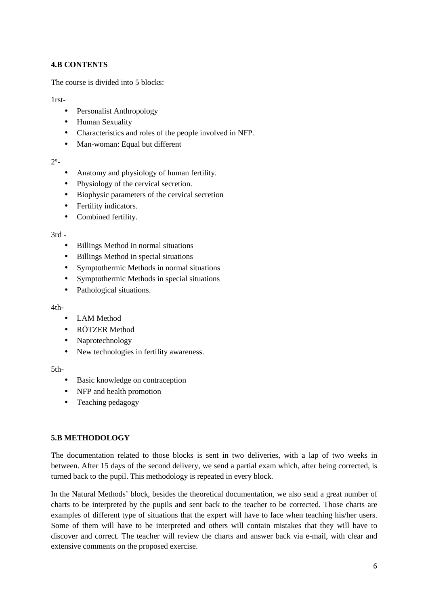## **4.B CONTENTS**

The course is divided into 5 blocks:

### 1rst-

- Personalist Anthropology
- Human Sexuality
- Characteristics and roles of the people involved in NFP.
- Man-woman: Equal but different

### $2^{\circ}$ -

- Anatomy and physiology of human fertility.
- Physiology of the cervical secretion.
- Biophysic parameters of the cervical secretion
- Fertility indicators.
- Combined fertility.

### $3rd -$

- Billings Method in normal situations
- Billings Method in special situations
- Symptothermic Methods in normal situations
- Symptothermic Methods in special situations
- Pathological situations.

#### 4th-

- LAM Method
- RÖTZER Method
- Naprotechnology
- New technologies in fertility awareness.

#### 5th-

- Basic knowledge on contraception
- NFP and health promotion
- Teaching pedagogy

## **5.B METHODOLOGY**

The documentation related to those blocks is sent in two deliveries, with a lap of two weeks in between. After 15 days of the second delivery, we send a partial exam which, after being corrected, is turned back to the pupil. This methodology is repeated in every block.

In the Natural Methods' block, besides the theoretical documentation, we also send a great number of charts to be interpreted by the pupils and sent back to the teacher to be corrected. Those charts are examples of different type of situations that the expert will have to face when teaching his/her users. Some of them will have to be interpreted and others will contain mistakes that they will have to discover and correct. The teacher will review the charts and answer back via e-mail, with clear and extensive comments on the proposed exercise.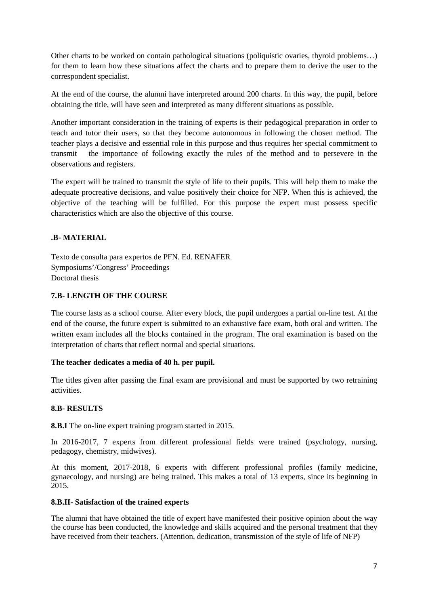Other charts to be worked on contain pathological situations (poliquistic ovaries, thyroid problems…) for them to learn how these situations affect the charts and to prepare them to derive the user to the correspondent specialist.

At the end of the course, the alumni have interpreted around 200 charts. In this way, the pupil, before obtaining the title, will have seen and interpreted as many different situations as possible.

Another important consideration in the training of experts is their pedagogical preparation in order to teach and tutor their users, so that they become autonomous in following the chosen method. The teacher plays a decisive and essential role in this purpose and thus requires her special commitment to transmit the importance of following exactly the rules of the method and to persevere in the observations and registers.

The expert will be trained to transmit the style of life to their pupils. This will help them to make the adequate procreative decisions, and value positively their choice for NFP. When this is achieved, the objective of the teaching will be fulfilled. For this purpose the expert must possess specific characteristics which are also the objective of this course.

## **.B- MATERIAL**

Texto de consulta para expertos de PFN. Ed. RENAFER Symposiums'/Congress' Proceedings Doctoral thesis

## **7.B- LENGTH OF THE COURSE**

The course lasts as a school course. After every block, the pupil undergoes a partial on-line test. At the end of the course, the future expert is submitted to an exhaustive face exam, both oral and written. The written exam includes all the blocks contained in the program. The oral examination is based on the interpretation of charts that reflect normal and special situations.

#### **The teacher dedicates a media of 40 h. per pupil.**

The titles given after passing the final exam are provisional and must be supported by two retraining activities.

## **8.B- RESULTS**

**8.B.I** The on-line expert training program started in 2015.

In 2016-2017, 7 experts from different professional fields were trained (psychology, nursing, pedagogy, chemistry, midwives).

At this moment, 2017-2018, 6 experts with different professional profiles (family medicine, gynaecology, and nursing) are being trained. This makes a total of 13 experts, since its beginning in 2015.

#### **8.B.II- Satisfaction of the trained experts**

The alumni that have obtained the title of expert have manifested their positive opinion about the way the course has been conducted, the knowledge and skills acquired and the personal treatment that they have received from their teachers. (Attention, dedication, transmission of the style of life of NFP)